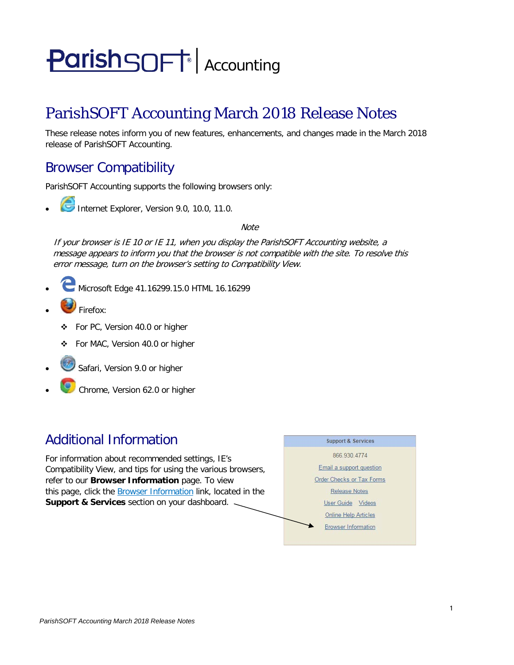# **ParishSOFT** Accounting

# ParishSOFT Accounting March 2018 Release Notes

These release notes inform you of new features, enhancements, and changes made in the March 2018 release of ParishSOFT Accounting.

## Browser Compatibility

ParishSOFT Accounting supports the following browsers only:

**• Internet Explorer, Version 9.0, 10.0, 11.0.** 

**Note** 

If your browser is IE 10 or IE 11, when you display the ParishSOFT Accounting website, a message appears to inform you that the browser is not compatible with the site. To resolve this error message, turn on the browser's setting to Compatibility View.

- Microsoft Edge 41.16299.15.0 HTML 16.16299
- Firefox:
	- For PC, Version 40.0 or higher
	- For MAC, Version 40.0 or higher
- Safari, Version 9.0 or higher
- Chrome, Version 62.0 or higher

## Additional Information

For information about recommended settings, IE's Compatibility View, and tips for using the various browsers, refer to our **Browser Information** page. To view this page, click the Browser Information link, located in the **Support & Services** section on your dashboard.

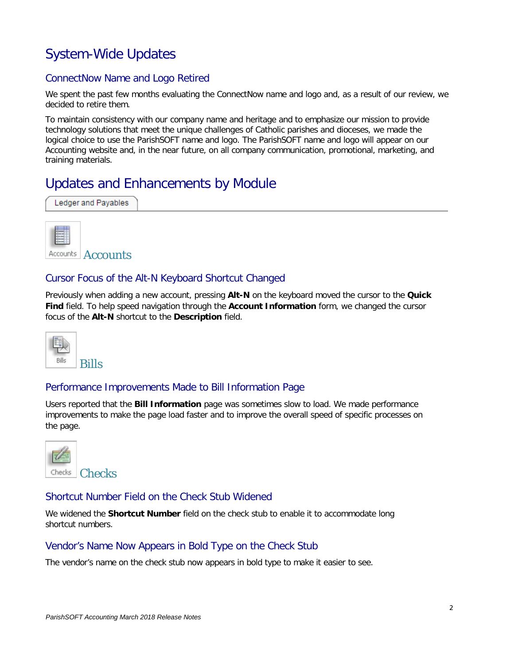# System-Wide Updates

#### ConnectNow Name and Logo Retired

We spent the past few months evaluating the ConnectNow name and logo and, as a result of our review, we decided to retire them.

To maintain consistency with our company name and heritage and to emphasize our mission to provide technology solutions that meet the unique challenges of Catholic parishes and dioceses, we made the logical choice to use the ParishSOFT name and logo. The ParishSOFT name and logo will appear on our Accounting website and, in the near future, on all company communication, promotional, marketing, and training materials.

# Updates and Enhancements by Module

| Ledger and Payables |  |
|---------------------|--|
|---------------------|--|



Accounts Accounts

#### Cursor Focus of the Alt-N Keyboard Shortcut Changed

Previously when adding a new account, pressing **Alt-N** on the keyboard moved the cursor to the **Quick Find** field. To help speed navigation through the **Account Information** form, we changed the cursor focus of the **Alt-N** shortcut to the **Description** field.



#### Performance Improvements Made to Bill Information Page

Users reported that the **Bill Information** page was sometimes slow to load. We made performance improvements to make the page load faster and to improve the overall speed of specific processes on the page.



#### Shortcut Number Field on the Check Stub Widened

We widened the **Shortcut Number** field on the check stub to enable it to accommodate long shortcut numbers.

#### Vendor's Name Now Appears in Bold Type on the Check Stub

The vendor's name on the check stub now appears in bold type to make it easier to see.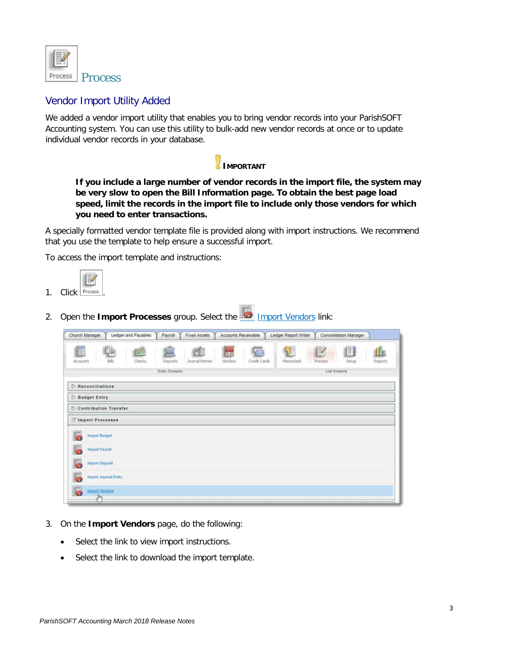

#### Vendor Import Utility Added

We added a vendor import utility that enables you to bring vendor records into your ParishSOFT Accounting system. You can use this utility to bulk-add new vendor records at once or to update individual vendor records in your database.



**If you include a large number of vendor records in the import file, the system may be very slow to open the Bill Information page. To obtain the best page load speed, limit the records in the import file to include only those vendors for which you need to enter transactions.**

A specially formatted vendor template file is provided along with import instructions. We recommend that you use the template to help ensure a successful import.

To access the import template and instructions:



2. Open the **Import Processes** group. Select the **IMPORT Vendors link:** 

| Church Manager                   | Ledger and Payables  | Payroll       | Fixed Assets    | Accounts Receivable    |                    | Ledger Report Writer |                                | Consolidation Manager |                |
|----------------------------------|----------------------|---------------|-----------------|------------------------|--------------------|----------------------|--------------------------------|-----------------------|----------------|
| E<br>Accounts                    | V<br>Checks          | 匬<br>Deposits | Journal Entries | <b>City</b><br>Vendors | 星座<br>Credit Cards | Memorized            | $\mathbb{R}$<br><b>Frocess</b> | Œ<br>Setup            | fh.<br>Reports |
|                                  |                      | Entry Screens |                 |                        |                    |                      | List Screens                   |                       |                |
| Reconciliations                  |                      |               |                 |                        |                    |                      |                                |                       |                |
| Budget Entry                     |                      |               |                 |                        |                    |                      |                                |                       |                |
| Contribution Transfer            |                      |               |                 |                        |                    |                      |                                |                       |                |
| V Import Processes               |                      |               |                 |                        |                    |                      |                                |                       |                |
| Import Budget                    |                      |               |                 |                        |                    |                      |                                |                       |                |
| <b>Import Payroll</b>            |                      |               |                 |                        |                    |                      |                                |                       |                |
| Import Deposit<br>lo.            |                      |               |                 |                        |                    |                      |                                |                       |                |
| <b>GS</b>                        | Import Journal Entry |               |                 |                        |                    |                      |                                |                       |                |
| $\overline{c}$<br>Import Vendors |                      |               |                 |                        |                    |                      |                                |                       |                |
|                                  |                      |               |                 |                        |                    |                      |                                |                       |                |

- 3. On the **Import Vendors** page, do the following:
	- Select the link to view import instructions.
	- Select the link to download the import template.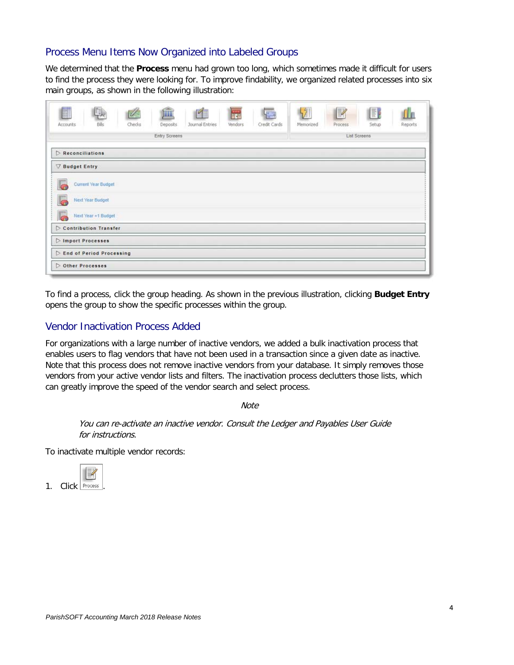#### Process Menu Items Now Organized into Labeled Groups

We determined that the **Process** menu had grown too long, which sometimes made it difficult for users to find the process they were looking for. To improve findability, we organized related processes into six main groups, as shown in the following illustration:

| E<br><b>THE REAL</b><br>闽<br>ç.<br><b>Fre</b><br>KI<br>$\frac{1}{2}$<br>Checks<br>Credit Cards<br>Journal Entries<br>Vendors<br>Deposits.<br>Accounts<br>Bills | $\frac{1}{2}$<br>$\mathbb R$<br>E<br>fh.<br>Reports<br>Memorized<br>Process<br>Setup<br>List Screens |
|----------------------------------------------------------------------------------------------------------------------------------------------------------------|------------------------------------------------------------------------------------------------------|
| Entry Screens<br>$\triangleright$ Reconciliations                                                                                                              |                                                                                                      |
| ▽ Budget Entry                                                                                                                                                 |                                                                                                      |
| Current Year Budget                                                                                                                                            |                                                                                                      |
| Next Year Budget<br>G                                                                                                                                          |                                                                                                      |
| Next Year +1 Budget<br>lа                                                                                                                                      |                                                                                                      |
| Contribution Transfer                                                                                                                                          |                                                                                                      |
| Import Processes                                                                                                                                               |                                                                                                      |
| <b>D</b> End of Period Processing                                                                                                                              |                                                                                                      |
| Other Processes                                                                                                                                                |                                                                                                      |

To find a process, click the group heading. As shown in the previous illustration, clicking **Budget Entry** opens the group to show the specific processes within the group.

#### Vendor Inactivation Process Added

For organizations with a large number of inactive vendors, we added a bulk inactivation process that enables users to flag vendors that have not been used in a transaction since a given date as inactive. Note that this process does not remove inactive vendors from your database. It simply removes those vendors from your active vendor lists and filters. The inactivation process declutters those lists, which can greatly improve the speed of the vendor search and select process.

**Note** 

You can re-activate an inactive vendor. Consult the Ledger and Payables User Guide for instructions.

To inactivate multiple vendor records:



1. Click Process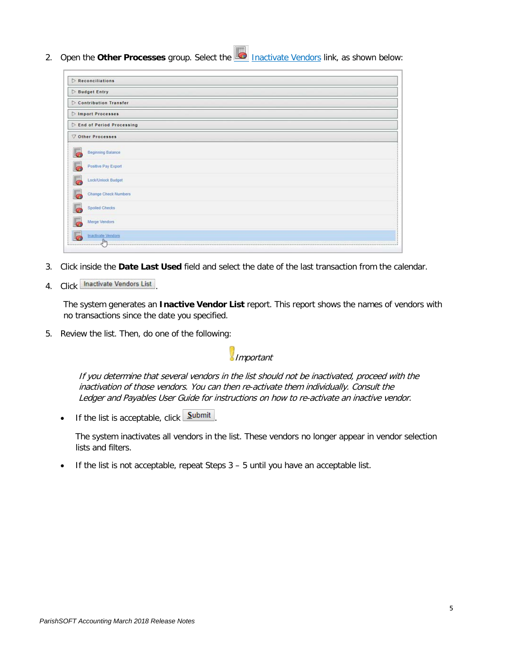2. Open the **Other Processes** group. Select the Inactivate Vendors link, as shown below:

|            | $\triangleright$ Reconciliations  |
|------------|-----------------------------------|
|            | Budget Entry                      |
|            | Contribution Transfer             |
|            | Import Processes                  |
|            | <b>D</b> End of Period Processing |
|            | ▽ Other Processes                 |
| <b>GR</b>  | <b>Beginning Balance</b>          |
|            | Positive Pay Export               |
|            | Lock/Unlock Budget                |
|            | <b>Change Check Numbers</b>       |
| l Ga       | <b>Spoiled Checks</b>             |
| <b>Com</b> | Merge Vendors                     |
|            | Inactivate Vendors                |
|            |                                   |

- 3. Click inside the **Date Last Used** field and select the date of the last transaction from the calendar.
- 4. Click Inactivate Vendors List

The system generates an **Inactive Vendor List** report. This report shows the names of vendors with no transactions since the date you specified.

5. Review the list. Then, do one of the following:

Important

If you determine that several vendors in the list should not be inactivated, proceed with the inactivation of those vendors. You can then re-activate them individually. Consult the Ledger and Payables User Guide for instructions on how to re-activate an inactive vendor.

If the list is acceptable, click  $Submit$ 

The system inactivates all vendors in the list. These vendors no longer appear in vendor selection lists and filters.

• If the list is not acceptable, repeat Steps 3 – 5 until you have an acceptable list.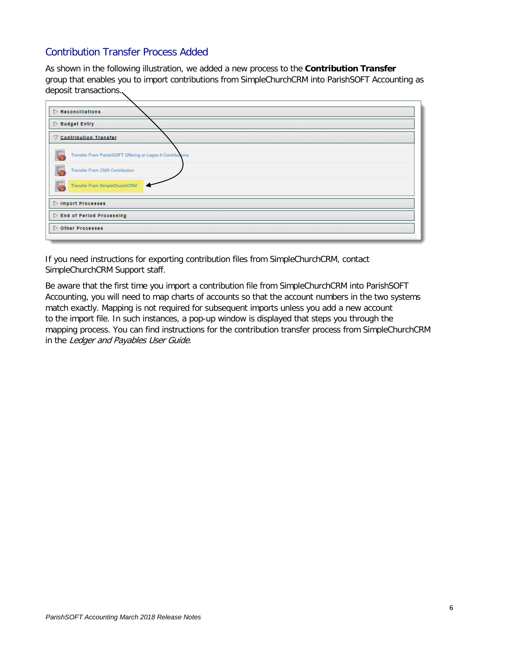#### Contribution Transfer Process Added

As shown in the following illustration, we added a new process to the **Contribution Transfer** group that enables you to import contributions from SimpleChurchCRM into ParishSOFT Accounting as deposit transactions.

| $\triangleright$ Reconciliations                            |
|-------------------------------------------------------------|
| $\triangleright$ Budget Entry                               |
| ▽ Contribution Transfer                                     |
| Transfer From ParishSOFT Offering or Logos II Contributions |
| Transfer From CMS Contribution                              |
| Transfer From SimpleChurchCRM                               |
| Import Processes                                            |
| End of Period Processing                                    |
| Other Processes                                             |
|                                                             |

If you need instructions for exporting contribution files from SimpleChurchCRM, contact SimpleChurchCRM Support staff.

Be aware that the first time you import a contribution file from SimpleChurchCRM into ParishSOFT Accounting, you will need to map charts of accounts so that the account numbers in the two systems match exactly. Mapping is not required for subsequent imports unless you add a new account to the import file. In such instances, a pop-up window is displayed that steps you through the mapping process. You can find instructions for the contribution transfer process from SimpleChurchCRM in the Ledger and Payables User Guide.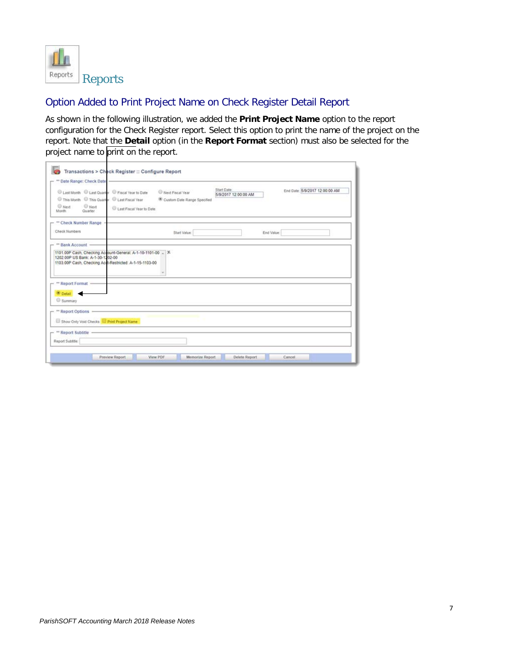

## Option Added to Print Project Name on Check Register Detail Report

As shown in the following illustration, we added the **Print Project Name** option to the report configuration for the Check Register report. Select this option to print the name of the project on the report. Note that the **Detail** option (in the **Report Format** section) must also be selected for the project name to print on the report.

| C Last Month C Last Quarter C Fiscal Year to Date<br>This Month This Quarter C Last Fiscal Year<br><b>Next</b><br><sup>O</sup> Next<br>Month:<br>Quarter | C Last Fiscal Year to Date | Next Fiscal Year<br>Custom Date Range Specified | Start Date:<br>5/9/2017 12:00:00 AM | End Date: 5/9/2017 12:00:00 AM |
|----------------------------------------------------------------------------------------------------------------------------------------------------------|----------------------------|-------------------------------------------------|-------------------------------------|--------------------------------|
| - ** Check Number Range<br>Check Numbers                                                                                                                 |                            | Start Value                                     | End Value:                          |                                |
| 1202.00P US Bank: A-1-30-1202-00                                                                                                                         |                            |                                                 |                                     |                                |
| 1103.00P Cash, Checking Acd-Restricted: A-1-15-1103-00<br>** Report Format -<br><sup>O</sup> Detail<br>Summary                                           |                            |                                                 |                                     |                                |
| " Report Options -<br>Show Only Void Checks Print Project Name                                                                                           |                            |                                                 |                                     |                                |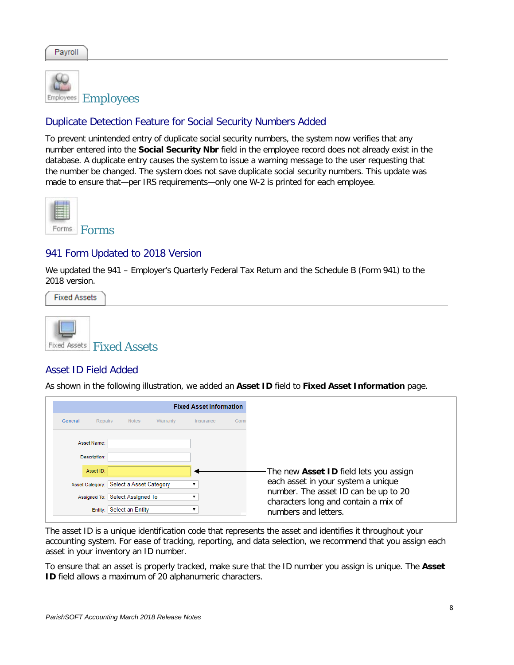

## Duplicate Detection Feature for Social Security Numbers Added

To prevent unintended entry of duplicate social security numbers, the system now verifies that any number entered into the **Social Security Nbr** field in the employee record does not already exist in the database. A duplicate entry causes the system to issue a warning message to the user requesting that the number be changed. The system does not save duplicate social security numbers. This update was made to ensure that—per IRS requirements—only one W-2 is printed for each employee.



#### 941 Form Updated to 2018 Version

We updated the 941 – Employer's Quarterly Federal Tax Return and the Schedule B (Form 941) to the 2018 version.

**Fixed Assets** 



#### Asset ID Field Added

As shown in the following illustration, we added an **Asset ID** field to **Fixed Asset Information** page.

|                           |                                         |          | <b>Fixed Asset Information</b> |     |
|---------------------------|-----------------------------------------|----------|--------------------------------|-----|
| General<br><b>Repairs</b> | <b>Notes</b>                            | Warranty | Insurance                      | Com |
| Asset Name:               |                                         |          |                                |     |
| Description:              |                                         |          |                                |     |
| Asset ID:                 |                                         |          |                                |     |
|                           | Asset Category: Select a Asset Category |          |                                |     |
|                           | Assigned To: Select Assigned To         |          |                                |     |
|                           | Entity: Select an Entity                |          |                                |     |

The asset ID is a unique identification code that represents the asset and identifies it throughout your accounting system. For ease of tracking, reporting, and data selection, we recommend that you assign each asset in your inventory an ID number.

To ensure that an asset is properly tracked, make sure that the ID number you assign is unique. The **Asset ID** field allows a maximum of 20 alphanumeric characters.